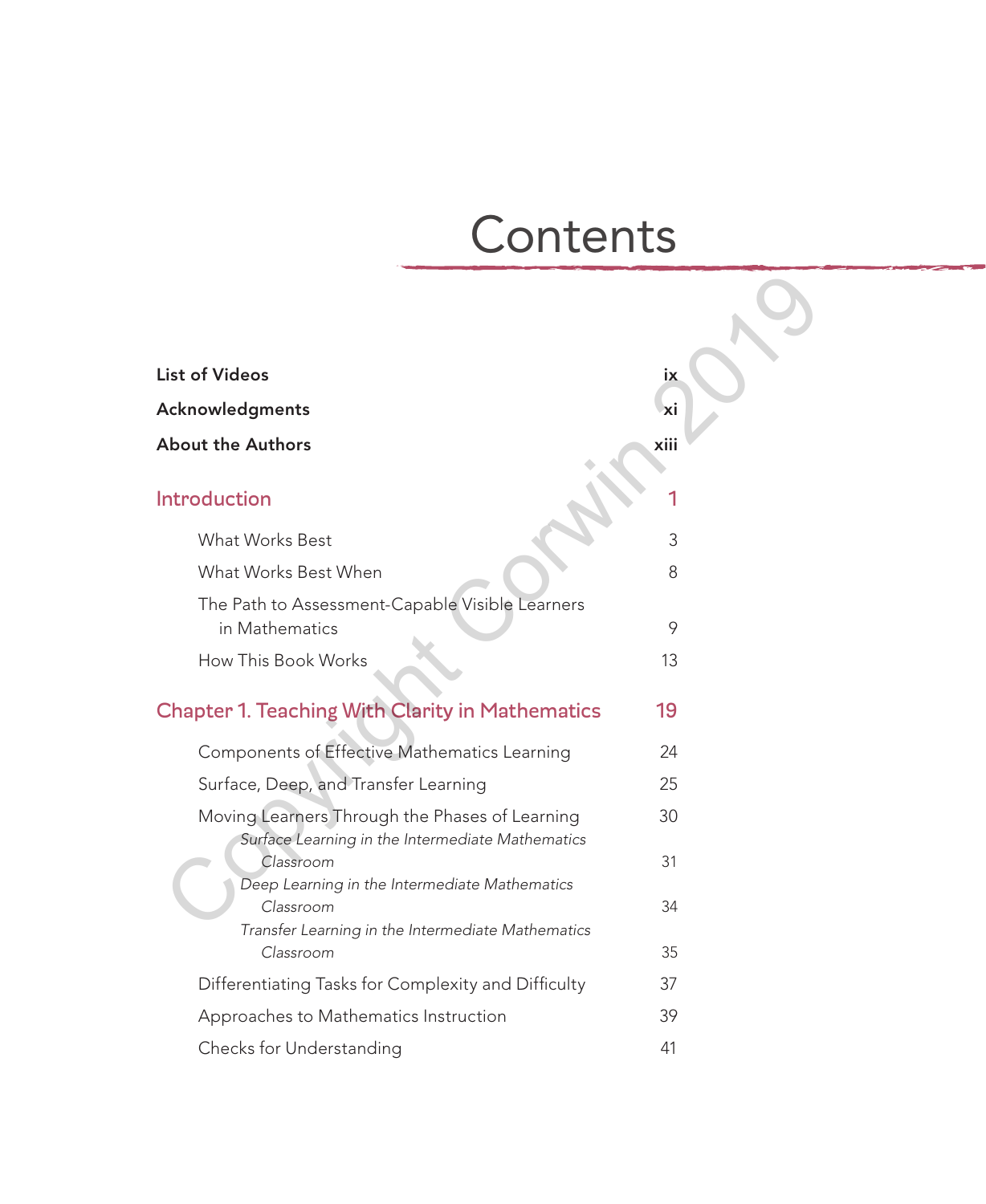# **Contents**

| <b>List of Videos</b>                                                                              | iх   |  |
|----------------------------------------------------------------------------------------------------|------|--|
| Acknowledgments                                                                                    | Ιxi  |  |
| <b>About the Authors</b>                                                                           | xiii |  |
| <b>Introduction</b>                                                                                |      |  |
| What Works Best                                                                                    | 3    |  |
| What Works Best When                                                                               | 8    |  |
| The Path to Assessment-Capable Visible Learners<br>in Mathematics                                  | 9    |  |
| How This Book Works                                                                                | 13   |  |
| <b>Chapter 1. Teaching With Clarity in Mathematics</b>                                             | 19   |  |
| Components of Effective Mathematics Learning                                                       | 24   |  |
| Surface, Deep, and Transfer Learning                                                               | 25   |  |
| Moving Learners Through the Phases of Learning<br>Surface Learning in the Intermediate Mathematics | 30   |  |
| Classroom<br>Deep Learning in the Intermediate Mathematics                                         | 31   |  |
| Classroom                                                                                          | 34   |  |
| Transfer Learning in the Intermediate Mathematics<br>Classroom                                     | 35   |  |
| Differentiating Tasks for Complexity and Difficulty                                                | 37   |  |
| Approaches to Mathematics Instruction                                                              | 39   |  |
| Checks for Understanding                                                                           | 41   |  |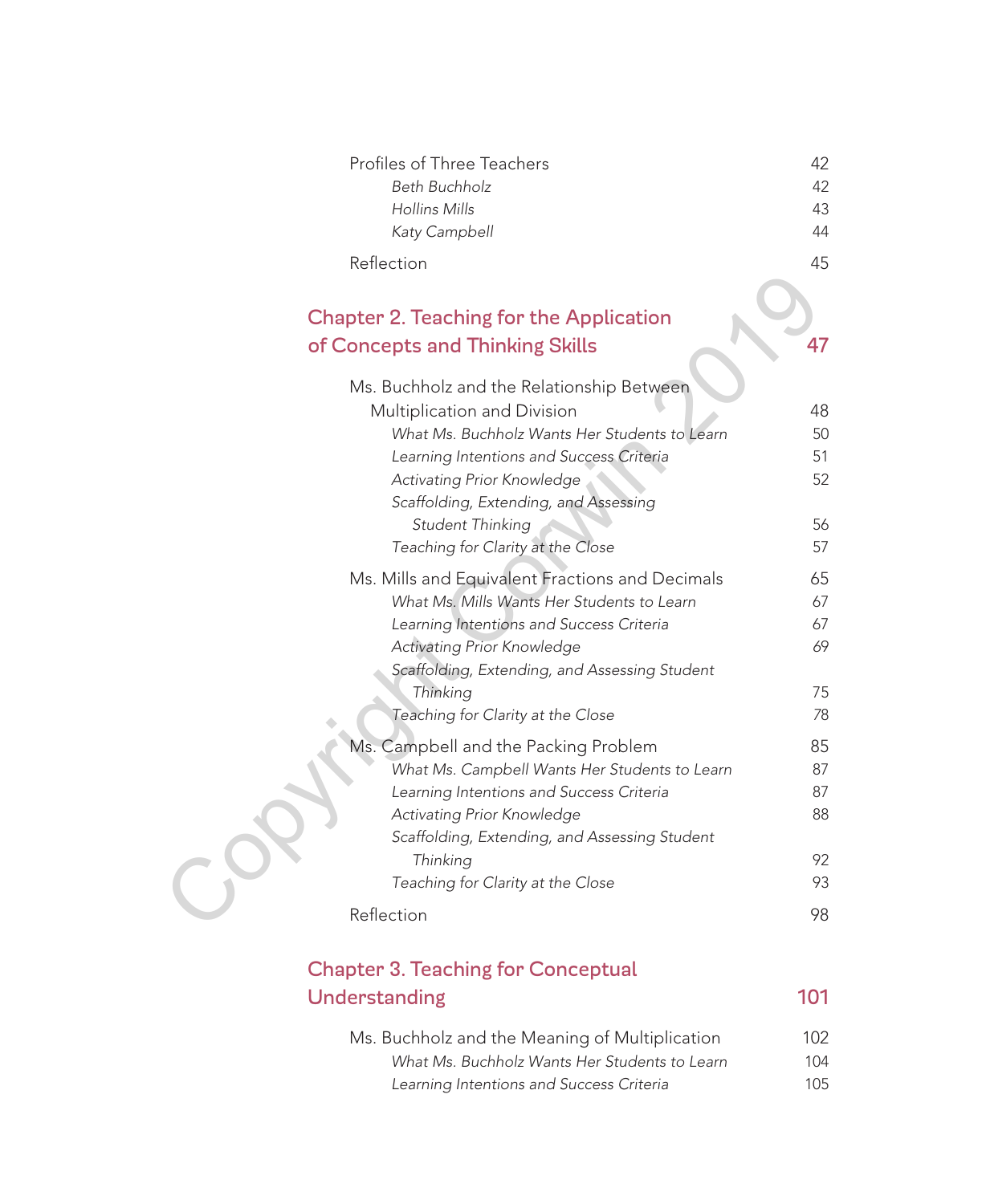| Profiles of Three Teachers | 42 |
|----------------------------|----|
| Beth Buchholz              | 42 |
| Hollins Mills              | 43 |
| Katy Campbell              | 44 |
| Reflection                 | 45 |

# Chapter 2. Teaching for the Application of Concepts and Thinking Skills 47

| ٠<br>ш |  |
|--------|--|

| <b>Chapter 2. Teaching for the Application</b><br>of Concepts and Thinking Skills<br>Ms. Buchholz and the Relationship Between |    |
|--------------------------------------------------------------------------------------------------------------------------------|----|
| Multiplication and Division                                                                                                    | 48 |
| What Ms. Buchholz Wants Her Students to Learn                                                                                  | 50 |
| Learning Intentions and Success Criteria                                                                                       | 51 |
| Activating Prior Knowledge                                                                                                     | 52 |
| Scaffolding, Extending, and Assessing                                                                                          |    |
| Student Thinking                                                                                                               | 56 |
| Teaching for Clarity at the Close                                                                                              | 57 |
| Ms. Mills and Equivalent Fractions and Decimals                                                                                | 65 |
| What Ms. Mills Wants Her Students to Learn                                                                                     | 67 |
| Learning Intentions and Success Criteria                                                                                       | 67 |
| Activating Prior Knowledge                                                                                                     | 69 |
| Scaffolding, Extending, and Assessing Student                                                                                  |    |
| Thinking                                                                                                                       | 75 |
| Teaching for Clarity at the Close                                                                                              | 78 |
| Ms. Campbell and the Packing Problem                                                                                           | 85 |
| What Ms. Campbell Wants Her Students to Learn                                                                                  | 87 |
| Learning Intentions and Success Criteria                                                                                       | 87 |
| Activating Prior Knowledge                                                                                                     | 88 |
| Scaffolding, Extending, and Assessing Student                                                                                  |    |
| Thinking                                                                                                                       | 92 |
| Teaching for Clarity at the Close                                                                                              | 93 |
| Reflection                                                                                                                     | 98 |

# Chapter 3. Teaching for Conceptual Understanding 101

| Ms. Buchholz and the Meaning of Multiplication | 102  |
|------------------------------------------------|------|
| What Ms. Buchholz Wants Her Students to Learn  | 104  |
| Learning Intentions and Success Criteria       | 10.5 |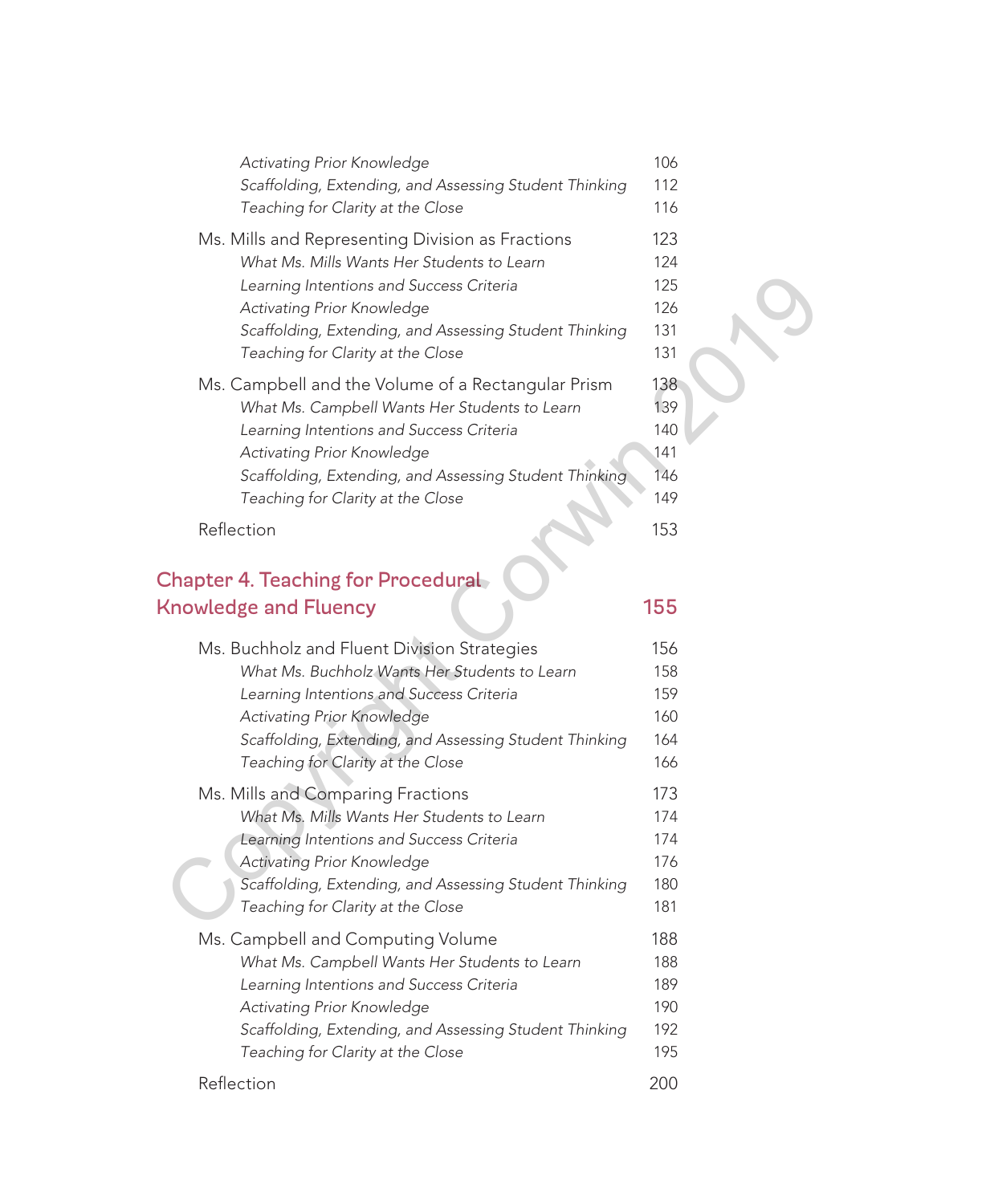| <b>Activating Prior Knowledge</b><br>Scaffolding, Extending, and Assessing Student Thinking<br>Teaching for Clarity at the Close                                                                                                                                             | 106<br>112<br>116                      |  |
|------------------------------------------------------------------------------------------------------------------------------------------------------------------------------------------------------------------------------------------------------------------------------|----------------------------------------|--|
| Ms. Mills and Representing Division as Fractions<br>What Ms. Mills Wants Her Students to Learn<br>Learning Intentions and Success Criteria<br>Activating Prior Knowledge<br>Scaffolding, Extending, and Assessing Student Thinking<br>Teaching for Clarity at the Close      | 123<br>124<br>125<br>126<br>131<br>131 |  |
| Ms. Campbell and the Volume of a Rectangular Prism<br>What Ms. Campbell Wants Her Students to Learn<br>Learning Intentions and Success Criteria<br>Activating Prior Knowledge<br>Scaffolding, Extending, and Assessing Student Thinking<br>Teaching for Clarity at the Close | 138<br>139<br>140<br>141<br>146<br>149 |  |
| Reflection                                                                                                                                                                                                                                                                   | 153                                    |  |
| <b>Chapter 4. Teaching for Procedural</b><br><b>Knowledge and Fluency</b>                                                                                                                                                                                                    | 155                                    |  |
| Ms. Buchholz and Fluent Division Strategies<br>What Ms. Buchholz Wants Her Students to Learn<br>Learning Intentions and Success Criteria<br>Activating Prior Knowledge<br>Scaffolding, Extending, and Assessing Student Thinking<br>Teaching for Clarity at the Close        | 156<br>158<br>159<br>160<br>164<br>166 |  |
| Ms. Mills and Comparing Fractions<br>What Ms. Mills Wants Her Students to Learn<br>Learning Intentions and Success Criteria<br>Activating Prior Knowledge<br>Scaffolding, Extending, and Assessing Student Thinking<br>Teaching for Clarity at the Close                     | 173<br>174<br>174<br>176<br>180<br>181 |  |
|                                                                                                                                                                                                                                                                              |                                        |  |

| Learning Intentions and Success Criteria               | 159 |
|--------------------------------------------------------|-----|
| Activating Prior Knowledge                             | 160 |
| Scaffolding, Extending, and Assessing Student Thinking | 164 |
| Teaching for Clarity at the Close                      | 166 |
| Ms. Mills and Comparing Fractions                      | 173 |
| What Ms. Mills Wants Her Students to Learn             | 174 |
| Learning Intentions and Success Criteria               | 174 |
| Activating Prior Knowledge                             | 176 |
| Scaffolding, Extending, and Assessing Student Thinking | 180 |
| Teaching for Clarity at the Close                      | 181 |
| Ms. Campbell and Computing Volume                      | 188 |
| What Ms. Campbell Wants Her Students to Learn          | 188 |
| Learning Intentions and Success Criteria               | 189 |
| Activating Prior Knowledge                             | 190 |
| Scaffolding, Extending, and Assessing Student Thinking | 192 |
| Teaching for Clarity at the Close                      | 195 |
|                                                        |     |

## Reflection 200

|  | w<br>٠ |
|--|--------|
|  |        |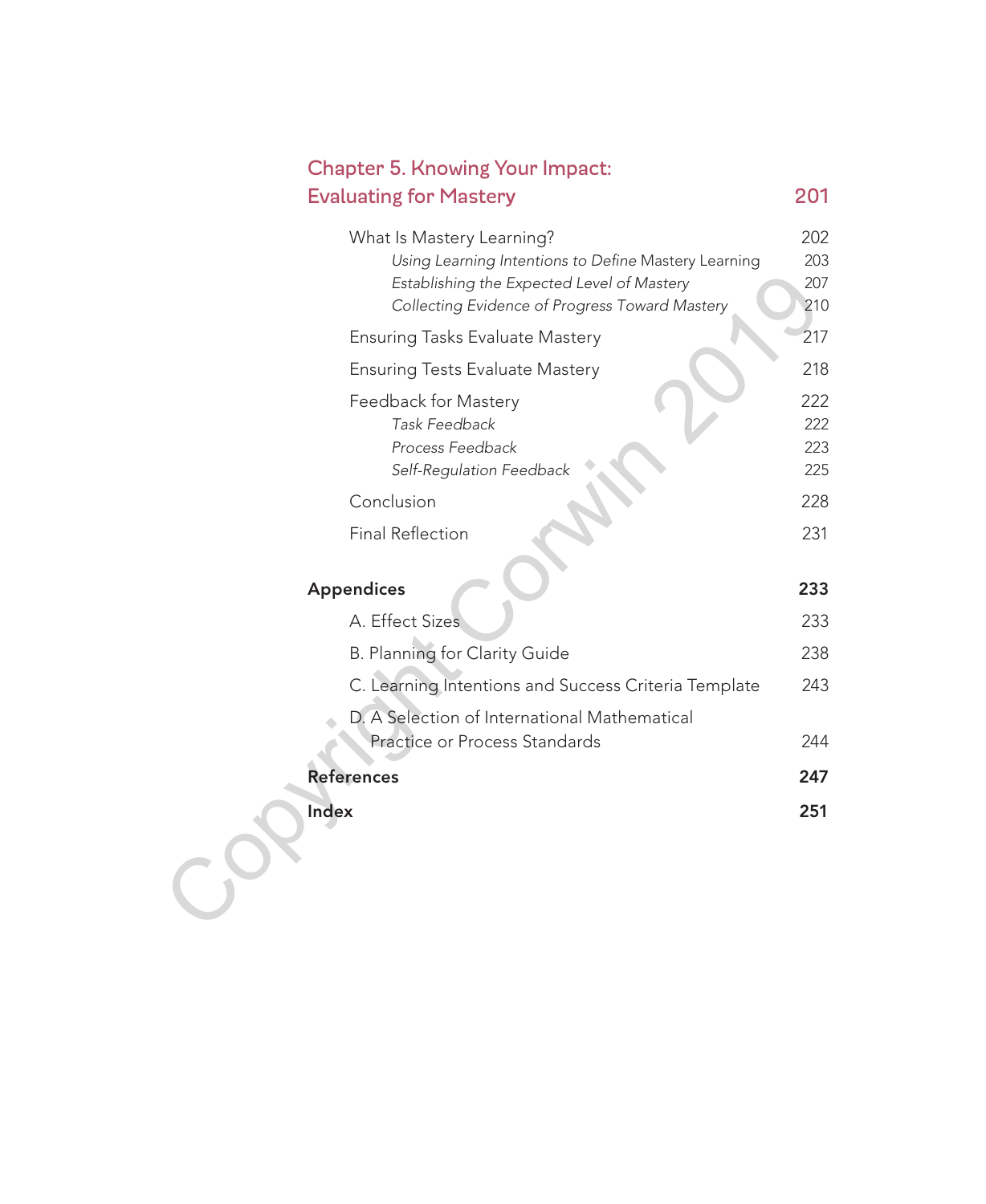| <b>Chapter 5. Knowing Your Impact:</b>                                                                                                                                            |                          |
|-----------------------------------------------------------------------------------------------------------------------------------------------------------------------------------|--------------------------|
| <b>Evaluating for Mastery</b>                                                                                                                                                     | 201                      |
| What Is Mastery Learning?<br>Using Learning Intentions to Define Mastery Learning<br>Establishing the Expected Level of Mastery<br>Collecting Evidence of Progress Toward Mastery | 202<br>203<br>207<br>210 |
| <b>Ensuring Tasks Evaluate Mastery</b>                                                                                                                                            | 217                      |
| <b>Ensuring Tests Evaluate Mastery</b>                                                                                                                                            | 218                      |
| Feedback for Mastery<br>Task Feedback<br>Process Feedback<br>Self-Regulation Feedback                                                                                             | 222<br>222<br>223<br>225 |
| Conclusion                                                                                                                                                                        | 228                      |
| <b>Final Reflection</b>                                                                                                                                                           | 231                      |
| <b>Appendices</b>                                                                                                                                                                 | 233                      |
| A. Effect Sizes                                                                                                                                                                   | 233                      |
| B. Planning for Clarity Guide                                                                                                                                                     | 238                      |
| C. Learning Intentions and Success Criteria Template                                                                                                                              | 243                      |
| D. A Selection of International Mathematical<br>Practice or Process Standards                                                                                                     | 244                      |
| <b>References</b>                                                                                                                                                                 | 247                      |
| Index                                                                                                                                                                             | 251                      |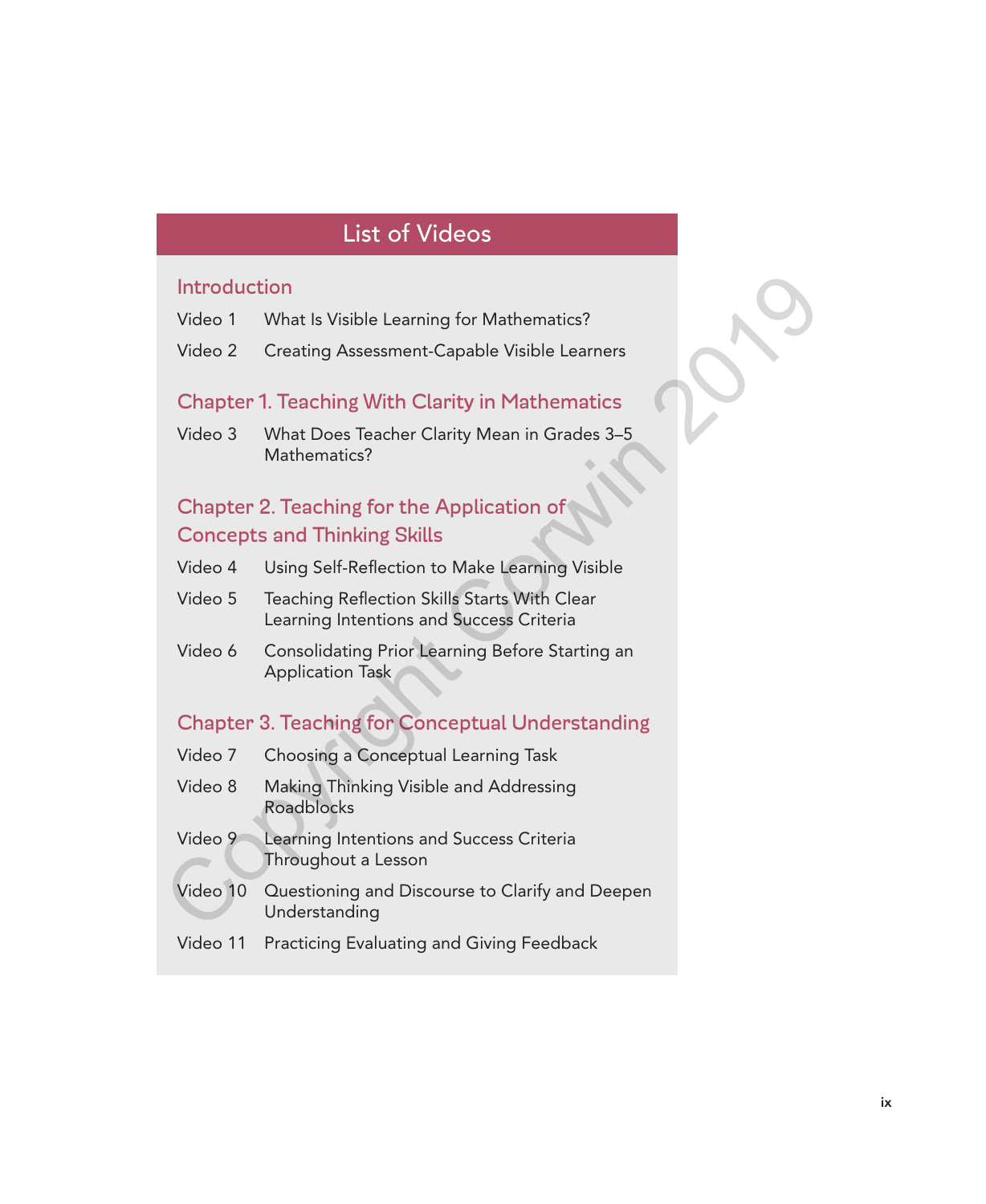# List of Videos

#### **Introduction**

- Video 1 What Is Visible Learning for Mathematics?
- Video 2 Creating Assessment-Capable Visible Learners

#### Chapter 1. Teaching With Clarity in Mathematics

Video 3 What Does Teacher Clarity Mean in Grades 3–5 Mathematics?

## Chapter 2. Teaching for the Application of Concepts and Thinking Skills

- Video 4 Using Self-Reflection to Make Learning Visible
- Video 5 Teaching Reflection Skills Starts With Clear Learning Intentions and Success Criteria
- Video 6 Consolidating Prior Learning Before Starting an Application Task

### Chapter 3. Teaching for Conceptual Understanding

- Video 7 Choosing a Conceptual Learning Task Video 8 Making Thinking Visible and Addressing Roadblocks Introduction<br>
Video 1 What Is Visible Learning for Mathematics?<br>
Video 2 Creating Assessment-Capable Visible Learners<br>
Chapter 1. Teaching With Clarity in Mathematics<br>
Video 3 What Does Teacher Clarity Mean in Grades 3–5<br>
	- Video 9 Learning Intentions and Success Criteria Throughout a Lesson
	- Video 10 Questioning and Discourse to Clarify and Deepen Understanding
	- Video 11 Practicing Evaluating and Giving Feedback